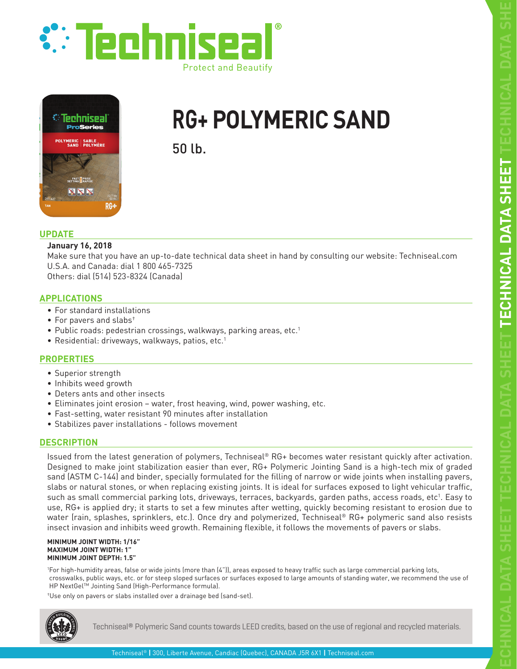





# **RG+ POLYMERIC SAND**

50 lb.

# **UPDATE**

## **January 16, 2018**

Make sure that you have an up-to-date technical data sheet in hand by consulting our website: Techniseal.com U.S.A. and Canada: dial 1 800 465-7325 Others: dial (514) 523-8324 (Canada)

# **APPLICATIONS**

- For standard installations
- For pavers and slabs†
- Public roads: pedestrian crossings, walkways, parking areas, etc.<sup>1</sup>
- Residential: driveways, walkways, patios, etc.<sup>1</sup>

# **PROPERTIES**

- Superior strength
- Inhibits weed growth
- Deters ants and other insects
- Eliminates joint erosion water, frost heaving, wind, power washing, etc.
- Fast-setting, water resistant 90 minutes after installation
- Stabilizes paver installations follows movement

# **DESCRIPTION**

Issued from the latest generation of polymers, Techniseal® RG+ becomes water resistant quickly after activation. Designed to make joint stabilization easier than ever, RG+ Polymeric Jointing Sand is a high-tech mix of graded sand (ASTM C-144) and binder, specially formulated for the filling of narrow or wide joints when installing pavers, slabs or natural stones, or when replacing existing joints. It is ideal for surfaces exposed to light vehicular traffic, such as small commercial parking lots, driveways, terraces, backyards, garden paths, access roads, etc<sup>1</sup>. Easy to use, RG+ is applied dry; it starts to set a few minutes after wetting, quickly becoming resistant to erosion due to water (rain, splashes, sprinklers, etc.). Once dry and polymerized, Techniseal® RG+ polymeric sand also resists insect invasion and inhibits weed growth. Remaining flexible, it follows the movements of pavers or slabs.

#### **MINIMUM JOINT WIDTH: 1/16" MAXIMUM JOINT WIDTH: 1" MINIMUM JOINT DEPTH: 1.5"**

1 For high-humidity areas, false or wide joints (more than (4")), areas exposed to heavy traffic such as large commercial parking lots, crosswalks, public ways, etc. or for steep sloped surfaces or surfaces exposed to large amounts of standing water, we recommend the use of HP NextGel™ Jointing Sand (High-Performance formula).

†Use only on pavers or slabs installed over a drainage bed (sand-set).



Techniseal® Polymeric Sand counts towards LEED credits, based on the use of regional and recycled materials.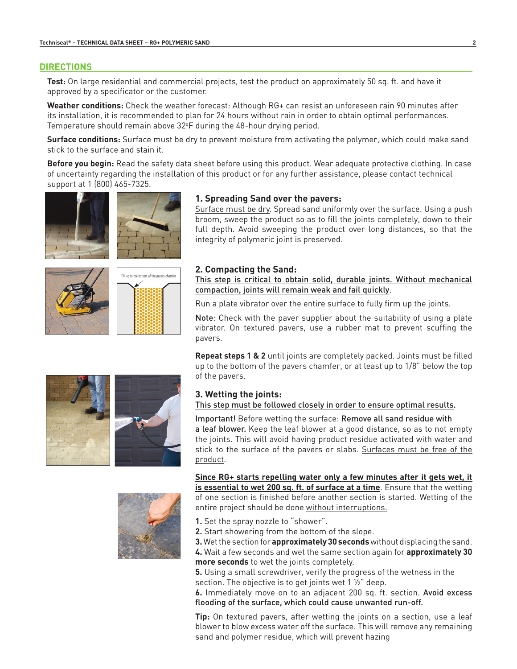#### **DIRECTIONS**

**Test:** On large residential and commercial projects, test the product on approximately 50 sq. ft. and have it approved by a specificator or the customer.

**Weather conditions:** Check the weather forecast: Although RG+ can resist an unforeseen rain 90 minutes after its installation, it is recommended to plan for 24 hours without rain in order to obtain optimal performances. Temperature should remain above 32°F during the 48-hour drying period.

**Surface conditions:** Surface must be dry to prevent moisture from activating the polymer, which could make sand stick to the surface and stain it.

**Before you begin:** Read the safety data sheet before using this product. Wear adequate protective clothing. In case of uncertainty regarding the installation of this product or for any further assistance, please contact technical support at 1 (800) 465-7325.

**1. Spreading Sand over the pavers:**





broom, sweep the product so as to fill the joints completely, down to their full depth. Avoid sweeping the product over long distances, so that the integrity of polymeric joint is preserved.

Surface must be dry. Spread sand uniformly over the surface. Using a push



### **2. Compacting the Sand:**

This step is critical to obtain solid, durable joints. Without mechanical compaction, joints will remain weak and fail quickly.

Run a plate vibrator over the entire surface to fully firm up the joints.

Note: Check with the paver supplier about the suitability of using a plate vibrator. On textured pavers, use a rubber mat to prevent scuffing the pavers.

**Repeat steps 1 & 2** until joints are completely packed. Joints must be filled up to the bottom of the pavers chamfer, or at least up to 1/8" below the top of the pavers.

# **3. Wetting the joints:**

This step must be followed closely in order to ensure optimal results.

Important! Before wetting the surface: Remove all sand residue with a leaf blower. Keep the leaf blower at a good distance, so as to not empty the joints. This will avoid having product residue activated with water and stick to the surface of the pavers or slabs. Surfaces must be free of the product.

**Since RG+ starts repelling water only a few minutes after it gets wet, it is essential to wet 200 sq. ft. of surface at a time**. Ensure that the wetting of one section is finished before another section is started. Wetting of the entire project should be done without interruptions.



- **2.** Start showering from the bottom of the slope.
- **3.** Wet the section for **approximately 30 seconds** without displacing the sand.
- **4.** Wait a few seconds and wet the same section again for **approximately 30 more seconds** to wet the joints completely.

**5.** Using a small screwdriver, verify the progress of the wetness in the section. The objective is to get joints wet 1  $\frac{1}{2}$  deep.

**6.** Immediately move on to an adjacent 200 sq. ft. section. Avoid excess flooding of the surface, which could cause unwanted run-off.

**Tip:** On textured pavers, after wetting the joints on a section, use a leaf blower to blow excess water off the surface. This will remove any remaining sand and polymer residue, which will prevent hazing



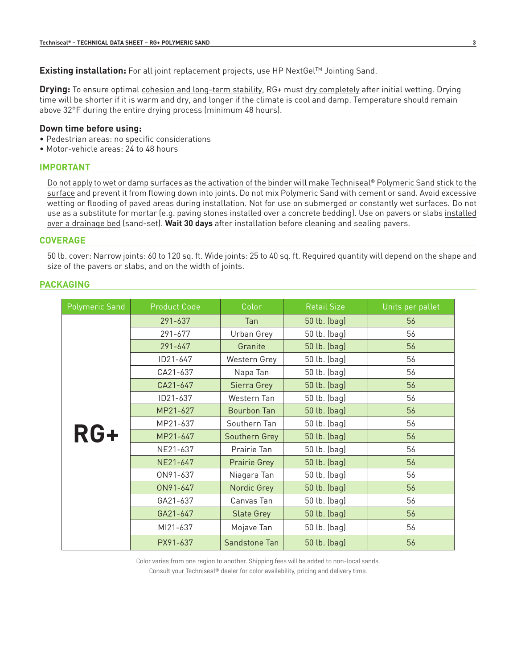#### **Existing installation:** For all joint replacement projects, use HP NextGel™ Jointing Sand.

**Drying:** To ensure optimal cohesion and long-term stability, RG+ must dry completely after initial wetting. Drying time will be shorter if it is warm and dry, and longer if the climate is cool and damp. Temperature should remain above 32°F during the entire drying process (minimum 48 hours).

#### **Down time before using:**

- Pedestrian areas: no specific considerations
- Motor-vehicle areas: 24 to 48 hours

### **IMPORTANT**

Do not apply to wet or damp surfaces as the activation of the binder will make Techniseal® Polymeric Sand stick to the surface and prevent it from flowing down into joints. Do not mix Polymeric Sand with cement or sand. Avoid excessive wetting or flooding of paved areas during installation. Not for use on submerged or constantly wet surfaces. Do not use as a substitute for mortar (e.g. paving stones installed over a concrete bedding). Use on pavers or slabs installed over a drainage bed (sand-set). **Wait 30 days** after installation before cleaning and sealing pavers.

#### **COVERAGE**

50 lb. cover: Narrow joints: 60 to 120 sq. ft. Wide joints: 25 to 40 sq. ft. Required quantity will depend on the shape and size of the pavers or slabs, and on the width of joints.

#### **PACKAGING**

| <b>Polymeric Sand</b> | Product Code | Color              | <b>Retail Size</b> | Units per pallet |
|-----------------------|--------------|--------------------|--------------------|------------------|
| RG+                   | 291-637      | Tan                | 50 lb. (bag)       | 56               |
|                       | 291-677      | Urban Grey         | 50 lb. (bag)       | 56               |
|                       | $291 - 647$  | Granite            | 50 lb. (bag)       | 56               |
|                       | ID21-647     | Western Grey       | 50 lb. (bag)       | 56               |
|                       | CA21-637     | Napa Tan           | 50 lb. (bag)       | 56               |
|                       | CA21-647     | Sierra Grey        | 50 lb. (bag)       | 56               |
|                       | ID21-637     | Western Tan        | 50 lb. (bag)       | 56               |
|                       | MP21-627     | <b>Bourbon Tan</b> | 50 lb. (bag)       | 56               |
|                       | MP21-637     | Southern Tan       | 50 lb. (bag)       | 56               |
|                       | MP21-647     | Southern Grey      | 50 lb. (bag)       | 56               |
|                       | NE21-637     | Prairie Tan        | 50 lb. (bag)       | 56               |
|                       | NE21-647     | Prairie Grey       | 50 lb. (bag)       | 56               |
|                       | ON91-637     | Niagara Tan        | 50 lb. (bag)       | 56               |
|                       | ON91-647     | Nordic Grey        | 50 lb. (bag)       | 56               |
|                       | GA21-637     | Canvas Tan         | 50 lb. (bag)       | 56               |
|                       | GA21-647     | <b>Slate Grey</b>  | 50 lb. (bag)       | 56               |
|                       | MI21-637     | Mojave Tan         | 50 lb. (bag)       | 56               |
|                       | PX91-637     | Sandstone Tan      | 50 lb. (bag)       | 56               |

Color varies from one region to another. Shipping fees will be added to non-local sands.

Consult your Techniseal® dealer for color availability, pricing and delivery time.